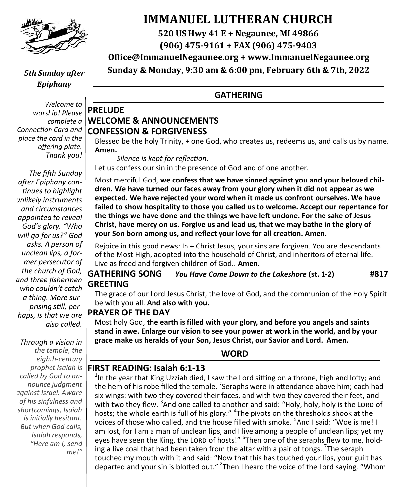

#### *5th Sunday after Epiphany*

*Welcome to worship! Please complete a Connection Card and place the card in the offering plate. Thank you!*

*The fifth Sunday after Epiphany continues to highlight unlikely instruments and circumstances appointed to reveal God's glory. "Who will go for us?" God asks. A person of unclean lips, a former persecutor of the church of God, and three fishermen who couldn't catch a thing. More surprising still, perhaps, is that we are also called.*

*Through a vision in the temple, the eighth-century prophet Isaiah is called by God to announce judgment against Israel. Aware of his sinfulness and shortcomings, Isaiah is initially hesitant. But when God calls, Isaiah responds, "Here am I; send me!"*

# **IMMANUEL LUTHERAN CHURCH**

**520 US Hwy 41 E + Negaunee, MI 49866**

**(906) 475-9161 + FAX (906) 475-9403**

**Office@ImmanuelNegaunee.org + www.ImmanuelNegaunee.org**

**Sunday & Monday, 9:30 am & 6:00 pm, February 6th & 7th, 2022**

#### **GATHERING**

#### **PRELUDE WELCOME & ANNOUNCEMENTS CONFESSION & FORGIVENESS**

Blessed be the holy Trinity, + one God, who creates us, redeems us, and calls us by name. **Amen.**

*Silence is kept for reflection.*

Let us confess our sin in the presence of God and of one another.

Most merciful God, **we confess that we have sinned against you and your beloved children. We have turned our faces away from your glory when it did not appear as we expected. We have rejected your word when it made us confront ourselves. We have failed to show hospitality to those you called us to welcome. Accept our repentance for the things we have done and the things we have left undone. For the sake of Jesus Christ, have mercy on us. Forgive us and lead us, that we may bathe in the glory of your Son born among us, and reflect your love for all creation. Amen.**

Rejoice in this good news: In + Christ Jesus, your sins are forgiven. You are descendants of the Most High, adopted into the household of Christ, and inheritors of eternal life. Live as freed and forgiven children of God.. **Amen.**

#### **GATHERING SONG** *You Have Come Down to the Lakeshore* **(st. 1-2) #817 GREETING**

The grace of our Lord Jesus Christ, the love of God, and the communion of the Holy Spirit be with you all. **And also with you.**

#### **PRAYER OF THE DAY**

Most holy God, **the earth is filled with your glory, and before you angels and saints stand in awe. Enlarge our vision to see your power at work in the world, and by your grace make us heralds of your Son, Jesus Christ, our Savior and Lord. Amen.**

#### **WORD**

#### **FIRST READING: Isaiah 6:1-13**

 $^{1}$ In the year that King Uzziah died, I saw the Lord sitting on a throne, high and lofty; and the hem of his robe filled the temple. <sup>2</sup>Seraphs were in attendance above him; each had six wings: with two they covered their faces, and with two they covered their feet, and with two they flew. <sup>3</sup>And one called to another and said: "Holy, holy, holy is the LORD of hosts; the whole earth is full of his glory." <sup>4</sup>The pivots on the thresholds shook at the voices of those who called, and the house filled with smoke. <sup>5</sup>And I said: "Woe is me! I am lost, for I am a man of unclean lips, and I live among a people of unclean lips; yet my eyes have seen the King, the LORD of hosts!" <sup>6</sup>Then one of the seraphs flew to me, holding a live coal that had been taken from the altar with a pair of tongs. <sup>7</sup>The seraph touched my mouth with it and said: "Now that this has touched your lips, your guilt has departed and your sin is blotted out." <sup>8</sup>Then I heard the voice of the Lord saying, "Whom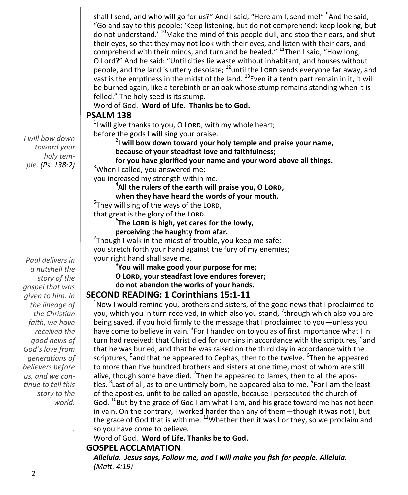shall I send, and who will go for us?" And I said, "Here am I; send me!" <sup>9</sup>And he said, "Go and say to this people: 'Keep listening, but do not comprehend; keep looking, but do not understand.<sup>' 10</sup>Make the mind of this people dull, and stop their ears, and shut their eyes, so that they may not look with their eyes, and listen with their ears, and comprehend with their minds, and turn and be healed." <sup>11</sup>Then I said, "How long, O Lord?" And he said: "Until cities lie waste without inhabitant, and houses without people, and the land is utterly desolate;  $^{12}$ until the LORD sends everyone far away, and vast is the emptiness in the midst of the land.  $^{13}$ Even if a tenth part remain in it, it will be burned again, like a terebinth or an oak whose stump remains standing when it is felled." The holy seed is its stump.

Word of God. **Word of Life. Thanks be to God.**

#### **PSALM 138**

 $1$ I will give thanks to you, O LORD, with my whole heart; before the gods I will sing your praise.

2 **I will bow down toward your holy temple and praise your name, because of your steadfast love and faithfulness;**

**for you have glorified your name and your word above all things.**

<sup>3</sup>When I called, you answered me;

you increased my strength within me.

4 **All the rulers of the earth will praise you, O Lord,**

**when they have heard the words of your mouth.**

<sup>5</sup>They will sing of the ways of the LORD,

that great is the glory of the LORD.

6 **The Lord is high, yet cares for the lowly, perceiving the haughty from afar.**

 $7$ Though I walk in the midst of trouble, you keep me safe; you stretch forth your hand against the fury of my enemies; your right hand shall save me.

8 **You will make good your purpose for me;** 

**O Lord, your steadfast love endures forever;** 

**do not abandon the works of your hands.**

#### **SECOND READING: 1 Corinthians 15:1-11**

 $1$ Now I would remind you, brothers and sisters, of the good news that I proclaimed to you, which you in turn received, in which also you stand, <sup>2</sup>through which also you are being saved, if you hold firmly to the message that I proclaimed to you—unless you have come to believe in vain. <sup>3</sup> For I handed on to you as of first importance what I in turn had received: that Christ died for our sins in accordance with the scriptures, <sup>4</sup>and that he was buried, and that he was raised on the third day in accordance with the scriptures, <sup>5</sup>and that he appeared to Cephas, then to the twelve. <sup>6</sup>Then he appeared to more than five hundred brothers and sisters at one time, most of whom are still alive, though some have died. <sup>7</sup>Then he appeared to James, then to all the apostles. <sup>8</sup> Last of all, as to one untimely born, he appeared also to me. <sup>9</sup> For I am the least of the apostles, unfit to be called an apostle, because I persecuted the church of God.  $^{10}$ But by the grace of God I am what I am, and his grace toward me has not been in vain. On the contrary, I worked harder than any of them—though it was not I, but the grace of God that is with me.  $11$ Whether then it was I or they, so we proclaim and so you have come to believe.

Word of God. **Word of Life. Thanks be to God.** 

#### **GOSPEL ACCLAMATION**

*Alleluia. Jesus says, Follow me, and I will make you fish for people. Alleluia. (Matt. 4:19)*

*I will bow down toward your holy temple. (Ps. 138:2)*

*Paul delivers in a nutshell the story of the gospel that was given to him. In the lineage of the Christian faith, we have received the good news of God's love from generations of believers before us, and we continue to tell this story to the world.*

*.*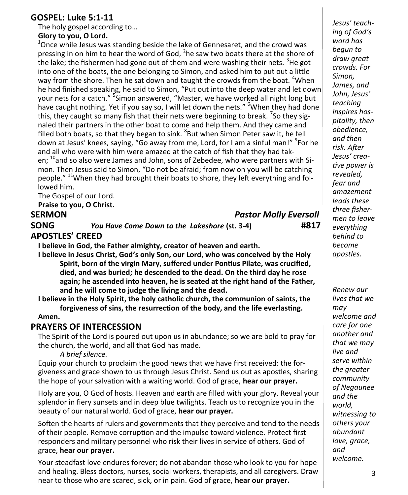#### **GOSPEL: Luke 5:1-11**

The holy gospel according to…

#### **Glory to you, O Lord.**

 $1$ Once while Jesus was standing beside the lake of Gennesaret, and the crowd was pressing in on him to hear the word of God,  $2$ he saw two boats there at the shore of the lake; the fishermen had gone out of them and were washing their nets. <sup>3</sup>He got into one of the boats, the one belonging to Simon, and asked him to put out a little way from the shore. Then he sat down and taught the crowds from the boat. <sup>4</sup>When he had finished speaking, he said to Simon, "Put out into the deep water and let down your nets for a catch." <sup>5</sup> Simon answered, "Master, we have worked all night long but have caught nothing. Yet if you say so, I will let down the nets." <sup>6</sup>When they had done this, they caught so many fish that their nets were beginning to break. <sup>7</sup>So they signaled their partners in the other boat to come and help them. And they came and filled both boats, so that they began to sink. <sup>8</sup>But when Simon Peter saw it, he fell down at Jesus' knees, saying, "Go away from me, Lord, for I am a sinful man!" <sup>9</sup>For he and all who were with him were amazed at the catch of fish that they had taken; <sup>10</sup>and so also were James and John, sons of Zebedee, who were partners with Simon. Then Jesus said to Simon, "Do not be afraid; from now on you will be catching people." <sup>11</sup>When they had brought their boats to shore, they left everything and followed him.

The Gospel of our Lord.

**Praise to you, O Christ.**

**SERMON** *Pastor Molly Eversoll*

**SONG** *You Have Come Down to the Lakeshore* **(st. 3-4) #817 APOSTLES' CREED**

**I believe in God, the Father almighty, creator of heaven and earth.**

**I believe in Jesus Christ, God's only Son, our Lord, who was conceived by the Holy Spirit, born of the virgin Mary, suffered under Pontius Pilate, was crucified, died, and was buried; he descended to the dead. On the third day he rose again; he ascended into heaven, he is seated at the right hand of the Father, and he will come to judge the living and the dead.**

**I believe in the Holy Spirit, the holy catholic church, the communion of saints, the forgiveness of sins, the resurrection of the body, and the life everlasting.** 

#### **Amen.**

#### **PRAYERS OF INTERCESSION**

The Spirit of the Lord is poured out upon us in abundance; so we are bold to pray for the church, the world, and all that God has made.

*A brief silence.*

Equip your church to proclaim the good news that we have first received: the forgiveness and grace shown to us through Jesus Christ. Send us out as apostles, sharing the hope of your salvation with a waiting world. God of grace, **hear our prayer.**

Holy are you, O God of hosts. Heaven and earth are filled with your glory. Reveal your splendor in fiery sunsets and in deep blue twilights. Teach us to recognize you in the beauty of our natural world. God of grace, **hear our prayer.**

Soften the hearts of rulers and governments that they perceive and tend to the needs of their people. Remove corruption and the impulse toward violence. Protect first responders and military personnel who risk their lives in service of others. God of grace, **hear our prayer.**

Your steadfast love endures forever; do not abandon those who look to you for hope and healing. Bless doctors, nurses, social workers, therapists, and all caregivers. Draw near to those who are scared, sick, or in pain. God of grace, **hear our prayer.**

*Jesus' teaching of God's word has begun to draw great crowds. For Simon, James, and John, Jesus' teaching inspires hospitality, then obedience, and then risk. After Jesus' creative power is revealed, fear and amazement leads these three fishermen to leave everything behind to become apostles.*

*Renew our lives that we may welcome and care for one another and that we may live and serve within the greater community of Negaunee and the world, witnessing to others your abundant love, grace, and welcome.*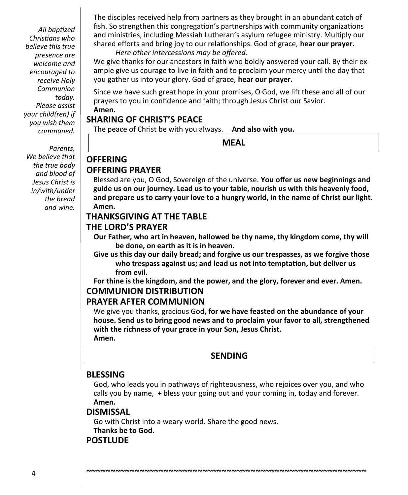*All baptized Christians who believe this true presence are welcome and encouraged to receive Holy Communion today. Please assist your child(ren) if you wish them communed.*

*Parents, We believe that the true body and blood of Jesus Christ is in/with/under the bread and wine.* 

The disciples received help from partners as they brought in an abundant catch of fish. So strengthen this congregation's partnerships with community organizations and ministries, including Messiah Lutheran's asylum refugee ministry. Multiply our shared efforts and bring joy to our relationships. God of grace, **hear our prayer.** *Here other intercessions may be offered.* 

We give thanks for our ancestors in faith who boldly answered your call. By their example give us courage to live in faith and to proclaim your mercy until the day that you gather us into your glory. God of grace, **hear our prayer.**

Since we have such great hope in your promises, O God, we lift these and all of our prayers to you in confidence and faith; through Jesus Christ our Savior. **Amen.**

#### **SHARING OF CHRIST'S PEACE**

The peace of Christ be with you always. **And also with you.**

**MEAL**

### **OFFERING PRAYER**

**OFFERING**

Blessed are you, O God, Sovereign of the universe. **You offer us new beginnings and guide us on our journey. Lead us to your table, nourish us with this heavenly food, and prepare us to carry your love to a hungry world, in the name of Christ our light. Amen.**

#### **THANKSGIVING AT THE TABLE**

#### **THE LORD'S PRAYER**

**Our Father, who art in heaven, hallowed be thy name, thy kingdom come, thy will be done, on earth as it is in heaven.**

**Give us this day our daily bread; and forgive us our trespasses, as we forgive those who trespass against us; and lead us not into temptation, but deliver us from evil.**

**For thine is the kingdom, and the power, and the glory, forever and ever. Amen. COMMUNION DISTRIBUTION**

#### **PRAYER AFTER COMMUNION**

We give you thanks, gracious God**, for we have feasted on the abundance of your house. Send us to bring good news and to proclaim your favor to all, strengthened with the richness of your grace in your Son, Jesus Christ. Amen.**

#### **SENDING**

#### **BLESSING**

God, who leads you in pathways of righteousness, who rejoices over you, and who calls you by name, + bless your going out and your coming in, today and forever. **Amen.**

**~~~~~~~~~~~~~~~~~~~~~~~~~~~~~~~~~~~~~~~~~~~~~~~~~~~~~~~~~~**

#### **DISMISSAL**

Go with Christ into a weary world. Share the good news. **Thanks be to God.**

#### **POSTLUDE**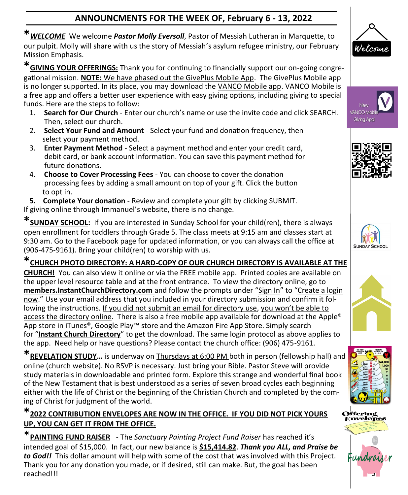### **ANNOUNCMENTS FOR THE WEEK OF, February 6 - 13, 2022**

**\****WELCOME* We welcome *Pastor Molly Eversoll*, Pastor of Messiah Lutheran in Marquette, to our pulpit. Molly will share with us the story of Messiah's asylum refugee ministry, our February Mission Emphasis.

**\*GIVING YOUR OFFERINGS:** Thank you for continuing to financially support our on-going congregational mission. **NOTE:** We have phased out the GivePlus Mobile App. The GivePlus Mobile app is no longer supported. In its place, you may download the VANCO Mobile app. VANCO Mobile is a free app and offers a better user experience with easy giving options, including giving to special funds. Here are the steps to follow:

- 1. **Search for Our Church**  Enter our church's name or use the invite code and click SEARCH. Then, select our church.
- 2. **Select Your Fund and Amount**  Select your fund and donation frequency, then select your payment method.
- 3. **Enter Payment Method**  Select a payment method and enter your credit card, debit card, or bank account information. You can save this payment method for future donations.
- 4. **Choose to Cover Processing Fees**  You can choose to cover the donation processing fees by adding a small amount on top of your gift. Click the button to opt in.

**5. Complete Your donation** - Review and complete your gift by clicking SUBMIT. If giving online through Immanuel's website, there is no change.

**\*SUNDAY SCHOOL:** If you are interested in Sunday School for your child(ren), there is always open enrollment for toddlers through Grade 5. The class meets at 9:15 am and classes start at 9:30 am. Go to the Facebook page for updated information, or you can always call the office at (906-475-9161). Bring your child(ren) to worship with us.

**\*CHURCH PHOTO DIRECTORY: A HARD-COPY OF OUR CHURCH DIRECTORY IS AVAILABLE AT THE CHURCH!** You can also view it online or via the FREE mobile app. Printed copies are available on the upper level resource table and at the front entrance. To view the directory online, go to **members.InstantChurchDirectory.com** and follow the prompts under "Sign In" to "Create a login now." Use your email address that you included in your directory submission and confirm it following the instructions. If you did not submit an email for directory use, you won't be able to access the directory online. There is also a free mobile app available for download at the Apple® App store in iTunes®, Google Play™ store and the Amazon Fire App Store. Simply search for "**Instant Church Directory**" to get the download. The same login protocol as above applies to the app. Need help or have questions? Please contact the church office: (906) 475-9161.

**\*REVELATION STUDY…** is underway on Thursdays at 6:00 PM both in person (fellowship hall) and online (church website). No RSVP is necessary. Just bring your Bible. Pastor Steve will provide study materials in downloadable and printed form. Explore this strange and wonderful final book of the New Testament that is best understood as a series of seven broad cycles each beginning either with the life of Christ or the beginning of the Christian Church and completed by the coming of Christ for judgment of the world.

#### **\*2022 CONTRIBUTION ENVELOPES ARE NOW IN THE OFFICE. IF YOU DID NOT PICK YOURS UP, YOU CAN GET IT FROM THE OFFICE.**

\***PAINTING FUND RAISER** - The *Sanctuary Painting Project Fund Raiser* has reached it'<sup>s</sup> intended goal of \$15,000. In fact, our new balance is **\$15,414.82**. *Thank you ALL, and Praise be to God!!* This dollar amount will help with some of the cost that was involved with this Project. Thank you for any donation you made, or if desired, still can make. But, the goal has been reached!!!















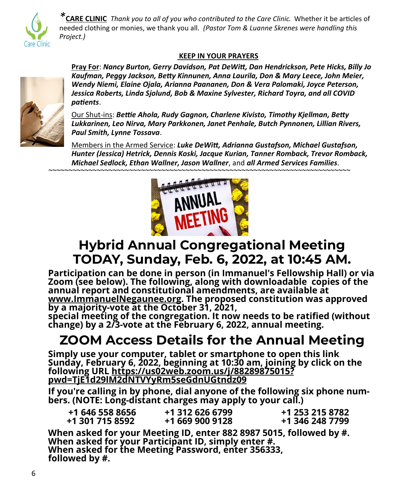

*\****CARE CLINIC** *Thank you to all of you who contributed to the Care Clinic*. Whether it be articles of needed clothing or monies, we thank you all. *(Pastor Tom & Luanne Skrenes were handling this Project.)*

#### **KEEP IN YOUR PRAYERS**



**Pray For**: *Nancy Burton, Gerry Davidson, Pat DeWitt, Dan Hendrickson, Pete Hicks, Billy Jo Kaufman, Peggy Jackson, Betty Kinnunen, Anna Laurila, Don & Mary Leece, John Meier, Wendy Niemi, Elaine Ojala, Arianna Paananen, Don & Vera Palomaki, Joyce Peterson, Jessica Roberts, Linda Sjolund, Bob & Maxine Sylvester, Richard Toyra, and all COVID patients*.

Our Shut-ins: *Bettie Ahola, Rudy Gagnon, Charlene Kivisto, Timothy Kjellman, Betty Lukkarinen, Leo Nirva, Mary Parkkonen, Janet Penhale, Butch Pynnonen, Lillian Rivers, Paul Smith, Lynne Tossava*.

Members in the Armed Service: *Luke DeWitt, Adrianna Gustafson, Michael Gustafson, Hunter (Jessica) Hetrick, Dennis Koski, Jacque Kurian, Tanner Romback, Trevor Romback, Michael Sedlock, Ethan Wallner, Jason Wallner*, and *all Armed Services Families. ~~~~~~~~~~~~~~~~~~~~~~~~~~~~~~~~~~~~~~~~~~~~~~~~~~~~~~~~~~~~~~~~~~~~~~~~~~~*



# **Hybrid Annual Congregational Meeting TODAY, Sunday, Feb. 6, 2022, at 10:45 AM.**

**Participation can be done in person (in Immanuel's Fellowship Hall) or via Zoom (see below). The following, along with downloadable copies of the annual report and constitutional amendments, are available at [www.ImmanuelNegaunee.org.](http://www.ImmanuelNegaunee.org) The proposed constitution was approved by a majority-vote at the October 31, 2021,** 

**special meeting of the congregation. It now needs to be ratified (without change) by a 2/3-vote at the February 6, 2022, annual meeting.**

# **ZOOM Access Details for the Annual Meeting**

**Simply use your computer, tablet or smartphone to open this link Sunday, February 6, 2022, beginning at 10:30 am, joining by click on the following URL [https://us02web.zoom.us/j/88289875015?](https://us02web.zoom.us/j/88289875015?pwd=TjE1d29lM2dNTVYyRm5seGdnUGtndz09) [pwd=TjE1d29lM2dNTVYyRm5seGdnUGtndz09](https://us02web.zoom.us/j/88289875015?pwd=TjE1d29lM2dNTVYyRm5seGdnUGtndz09)**

**If you're calling in by phone, dial anyone of the following six phone numbers. (NOTE: Long-distant charges may apply to your call.)**

| +1 646 558 8656 | +1 312 626 6799 | +1 253 215 8782 |
|-----------------|-----------------|-----------------|
| +1 301 715 8592 | +1 669 900 9128 | +1 346 248 7799 |

**When asked for your Meeting ID, enter 882 8987 5015, followed by #. When asked for your Participant ID, simply enter #. When asked for the Meeting Password, enter 356333, followed by #.**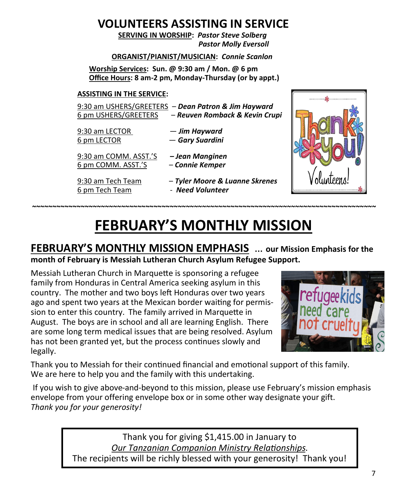# **VOLUNTEERS ASSISTING IN SERVICE**

 **SERVING IN WORSHIP:** *Pastor Steve Solberg Pastor Molly Eversoll*

#### **ORGANIST/PIANIST/MUSICIAN:** *Connie Scanlon*

**Worship Services: Sun. @ 9:30 am / Mon. @ 6 pm Office Hours: 8 am-2 pm, Monday-Thursday (or by appt.)**

#### **ASSISTING IN THE SERVICE:**

|                      | 9:30 am USHERS/GREETERS - Dean Patron & Jim Hayward |
|----------------------|-----------------------------------------------------|
| 6 pm USHERS/GREETERS | - Reuven Romback & Kevin Crupi                      |

- 9:30 am LECTOR *Jim Hayward* 6 pm LECTOR — *Gary Suardini*
- 9:30 am COMM. ASST.'S *– Jean Manginen* 6 pm COMM. ASST.'S – *Connie Kemper*
- 
- 9:30 am Tech Team *Tyler Moore & Luanne Skrenes* 6 pm Tech Team - *Need Volunteer*



# **FEBRUARY'S MONTHLY MISSION**

**~~~~~~~~~~~~~~~~~~~~~~~~~~~~~~~~~~~~~~~~~~~~~~~~~~~~~~~~~~~~~~~~~~~~~~~~~~~~~~~~~~~~~**

### **FEBRUARY'S MONTHLY MISSION EMPHASIS** … **our Mission Emphasis for the month of February is Messiah Lutheran Church Asylum Refugee Support.**

Messiah Lutheran Church in Marquette is sponsoring a refugee family from Honduras in Central America seeking asylum in this country. The mother and two boys left Honduras over two years ago and spent two years at the Mexican border waiting for permission to enter this country. The family arrived in Marquette in August. The boys are in school and all are learning English. There are some long term medical issues that are being resolved. Asylum has not been granted yet, but the process continues slowly and legally.



Thank you to Messiah for their continued financial and emotional support of this family. We are here to help you and the family with this undertaking.

If you wish to give above-and-beyond to this mission, please use February's mission emphasis envelope from your offering envelope box or in some other way designate your gift. *Thank you for your generosity!* 

> Thank you for giving \$1,415.00 in January to *Our Tanzanian Companion Ministry Relationships*. The recipients will be richly blessed with your generosity! Thank you!